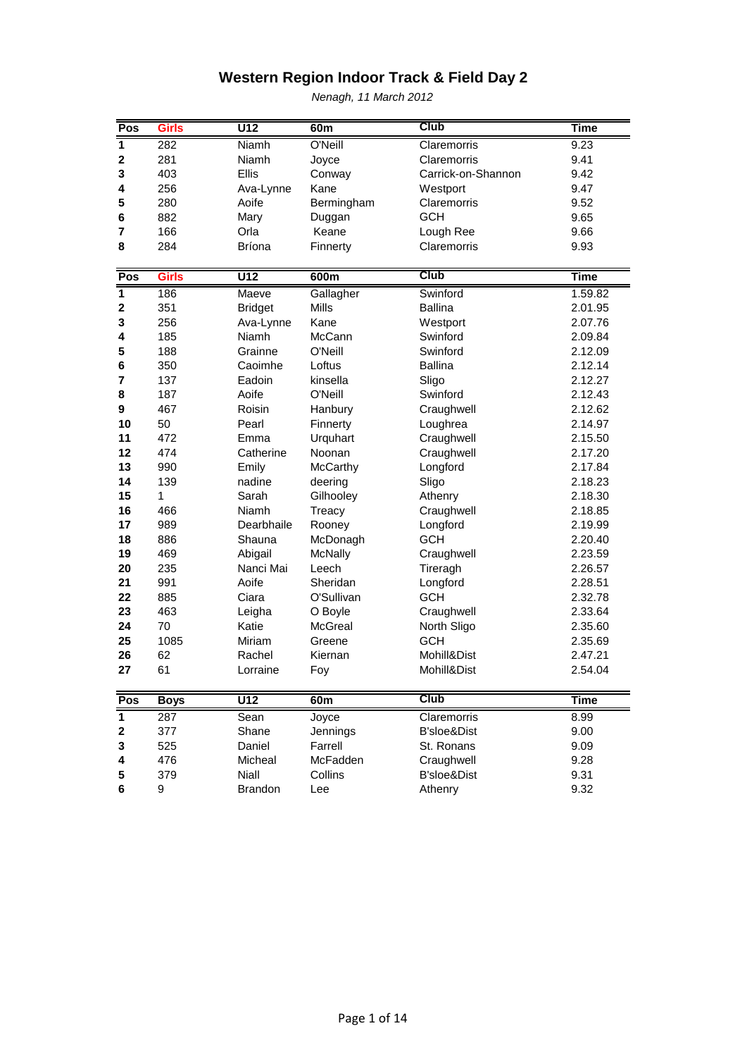| Pos                     | <b>Girls</b>       | U12              | 60m             | <b>Club</b>                | <b>Time</b> |
|-------------------------|--------------------|------------------|-----------------|----------------------------|-------------|
| $\mathbf{1}$            | 282                | <b>Niamh</b>     | O'Neill         | Claremorris                | 9.23        |
| $\mathbf 2$             | 281                | <b>Niamh</b>     | Joyce           | Claremorris                | 9.41        |
| 3                       | 403                | Ellis            | Conway          | Carrick-on-Shannon         | 9.42        |
| 4                       | 256                | Ava-Lynne        | Kane            | Westport                   | 9.47        |
| 5                       | 280                | Aoife            | Bermingham      | Claremorris                | 9.52        |
| 6                       | 882                | Mary             | Duggan          | <b>GCH</b>                 | 9.65        |
| 7                       | 166                | Orla             | Keane           | Lough Ree                  | 9.66        |
| 8                       | 284                | <b>Bríona</b>    | Finnerty        | Claremorris                | 9.93        |
|                         |                    |                  |                 |                            |             |
| Pos                     | <b>Girls</b>       | $\overline{U12}$ | 600m            | <b>Club</b>                | <b>Time</b> |
| $\mathbf{1}$            | 186                | Maeve            | Gallagher       | Swinford                   | 1.59.82     |
| $\overline{\mathbf{2}}$ | 351                | <b>Bridget</b>   | <b>Mills</b>    | <b>Ballina</b>             | 2.01.95     |
| 3                       | 256                | Ava-Lynne        | Kane            | Westport                   | 2.07.76     |
| 4                       | 185                | Niamh            | McCann          | Swinford                   | 2.09.84     |
| 5                       | 188                | Grainne          | O'Neill         | Swinford                   | 2.12.09     |
| 6                       | 350                | Caoimhe          | Loftus          | <b>Ballina</b>             | 2.12.14     |
| 7                       | 137                | Eadoin           | kinsella        | Sligo                      | 2.12.27     |
| 8                       | 187                | Aoife            | O'Neill         | Swinford                   | 2.12.43     |
| 9                       | 467                | Roisin           | Hanbury         | Craughwell                 | 2.12.62     |
| 10                      | 50                 | Pearl            | Finnerty        | Loughrea                   | 2.14.97     |
| 11                      | 472                | Emma             | Urquhart        | Craughwell                 | 2.15.50     |
| 12                      | 474                | Catherine        | Noonan          | Craughwell                 | 2.17.20     |
| 13                      | 990                | Emily            | <b>McCarthy</b> | Longford                   | 2.17.84     |
| 14                      | 139                | nadine           | deering         | Sligo                      | 2.18.23     |
| 15                      | 1                  | Sarah            | Gilhooley       | Athenry                    | 2.18.30     |
| 16                      | 466                | Niamh            | Treacy          | Craughwell                 | 2.18.85     |
| 17                      | 989                | Dearbhaile       | Rooney          | Longford                   | 2.19.99     |
| 18                      | 886                | Shauna           | McDonagh        | <b>GCH</b>                 | 2.20.40     |
| 19                      | 469                | Abigail          | <b>McNally</b>  | Craughwell                 | 2.23.59     |
| 20                      | 235                | Nanci Mai        | Leech           | Tireragh                   | 2.26.57     |
| 21                      | 991                | Aoife            | Sheridan        | Longford                   | 2.28.51     |
| 22                      | 885                | Ciara            | O'Sullivan      | <b>GCH</b>                 | 2.32.78     |
| 23                      | 463                | Leigha           | O Boyle         | Craughwell                 | 2.33.64     |
| 24                      | 70                 | Katie            | McGreal         | North Sligo                | 2.35.60     |
| 25                      | 1085               | Miriam           | Greene          | <b>GCH</b>                 | 2.35.69     |
| 26                      | 62                 | Rachel           | Kiernan         | Mohill&Dist                | 2.47.21     |
| 27                      | 61                 | Lorraine         | Foy             | Mohill&Dist                | 2.54.04     |
|                         |                    | $\overline{U12}$ |                 | Club                       | <b>Time</b> |
| Pos<br>$\overline{1}$   | <b>Boys</b><br>287 |                  | 60m<br>Joyce    |                            | 8.99        |
| $\mathbf 2$             | 377                | Sean<br>Shane    | Jennings        | Claremorris<br>B'sloe&Dist | 9.00        |
| 3                       | 525                | Daniel           | Farrell         | St. Ronans                 | 9.09        |
| 4                       | 476                | Micheal          | McFadden        | Craughwell                 | 9.28        |
| 5                       | 379                | Niall            | Collins         | B'sloe&Dist                | 9.31        |
| 6                       | 9                  | <b>Brandon</b>   | Lee             | Athenry                    | 9.32        |
|                         |                    |                  |                 |                            |             |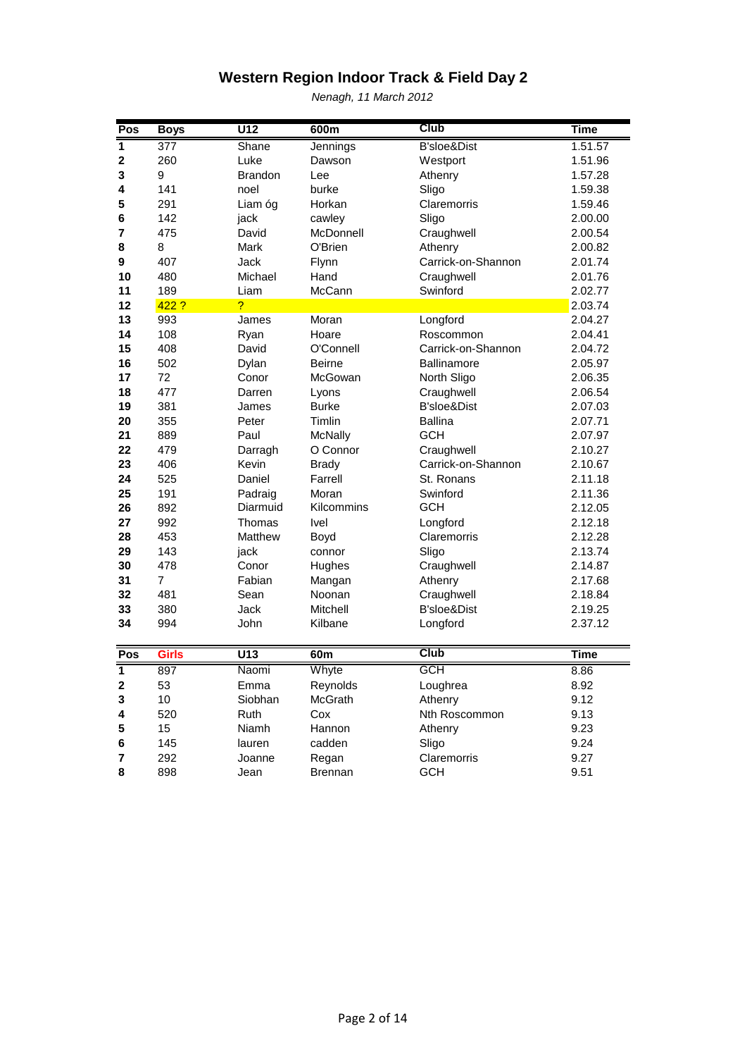| Pos                     | <b>Boys</b>     | $\overline{U12}$ | 600m           | Club                   | <b>Time</b> |
|-------------------------|-----------------|------------------|----------------|------------------------|-------------|
| 1                       | 377             | Shane            | Jennings       | B'sloe&Dist            | 1.51.57     |
| $\mathbf 2$             | 260             | Luke             | Dawson         | Westport               | 1.51.96     |
| 3                       | 9               | <b>Brandon</b>   | Lee            | Athenry                | 1.57.28     |
| 4                       | 141             | noel             | burke          | Sligo                  | 1.59.38     |
| 5                       | 291             | Liam óg          | Horkan         | Claremorris            | 1.59.46     |
| 6                       | 142             | jack             | cawley         | Sligo                  | 2.00.00     |
| 7                       | 475             | David            | McDonnell      | Craughwell             | 2.00.54     |
| 8                       | 8               | Mark             | O'Brien        | Athenry                | 2.00.82     |
| 9                       | 407             | Jack             | Flynn          | Carrick-on-Shannon     | 2.01.74     |
| 10                      | 480             | Michael          | Hand           | Craughwell             | 2.01.76     |
| 11                      | 189             | Liam             | McCann         | Swinford               | 2.02.77     |
| 12                      | 422 ?           | $\overline{?}$   |                |                        | 2.03.74     |
| 13                      | 993             | James            | Moran          | Longford               | 2.04.27     |
| 14                      | 108             | Ryan             | Hoare          | Roscommon              | 2.04.41     |
| 15                      | 408             | David            | O'Connell      | Carrick-on-Shannon     | 2.04.72     |
| 16                      | 502             | Dylan            | <b>Beirne</b>  | <b>Ballinamore</b>     | 2.05.97     |
| 17                      | 72              | Conor            | McGowan        | North Sligo            | 2.06.35     |
| 18                      | 477             | Darren           | Lyons          | Craughwell             | 2.06.54     |
| 19                      | 381             | James            | <b>Burke</b>   | <b>B'sloe&amp;Dist</b> | 2.07.03     |
| 20                      | 355             | Peter            | <b>Timlin</b>  | <b>Ballina</b>         | 2.07.71     |
| 21                      | 889             | Paul             | McNally        | <b>GCH</b>             | 2.07.97     |
| 22                      | 479             | Darragh          | O Connor       | Craughwell             | 2.10.27     |
| 23                      | 406             | Kevin            | <b>Brady</b>   | Carrick-on-Shannon     | 2.10.67     |
| 24                      | 525             | Daniel           | Farrell        | St. Ronans             | 2.11.18     |
| 25                      | 191             | Padraig          | Moran          | Swinford               | 2.11.36     |
| 26                      | 892             | Diarmuid         | Kilcommins     | <b>GCH</b>             | 2.12.05     |
| 27                      | 992             | Thomas           | Ivel           | Longford               | 2.12.18     |
| 28                      | 453             | Matthew          | Boyd           | Claremorris            | 2.12.28     |
| 29                      | 143             | jack             | connor         | Sligo                  | 2.13.74     |
| 30                      | 478             | Conor            | Hughes         | Craughwell             | 2.14.87     |
| 31                      | $\overline{7}$  | Fabian           | Mangan         | Athenry                | 2.17.68     |
| 32                      | 481             | Sean             | Noonan         | Craughwell             | 2.18.84     |
| 33                      | 380             | Jack             | Mitchell       | B'sloe&Dist            | 2.19.25     |
| 34                      | 994             | John             | Kilbane        | Longford               | 2.37.12     |
| Pos                     | <b>Girls</b>    | $\overline{U13}$ | 60m            | <b>Club</b>            | <b>Time</b> |
| $\overline{\mathbf{1}}$ | 897             | Naomi            | Whyte          | GCH                    | 8.86        |
| $\overline{\mathbf{2}}$ | 53              | Emma             | Reynolds       | Loughrea               | 8.92        |
| 3                       | 10 <sub>1</sub> | Siobhan          | McGrath        | Athenry                | 9.12        |
| 4                       | 520             | Ruth             | Cox            | Nth Roscommon          | 9.13        |
| 5                       | 15              | Niamh            | Hannon         | Athenry                | 9.23        |
| 6                       | 145             | lauren           | cadden         | Sligo                  | 9.24        |
| 7                       | 292             | Joanne           | Regan          | Claremorris            | 9.27        |
| 8                       | 898             | Jean             | <b>Brennan</b> | <b>GCH</b>             | 9.51        |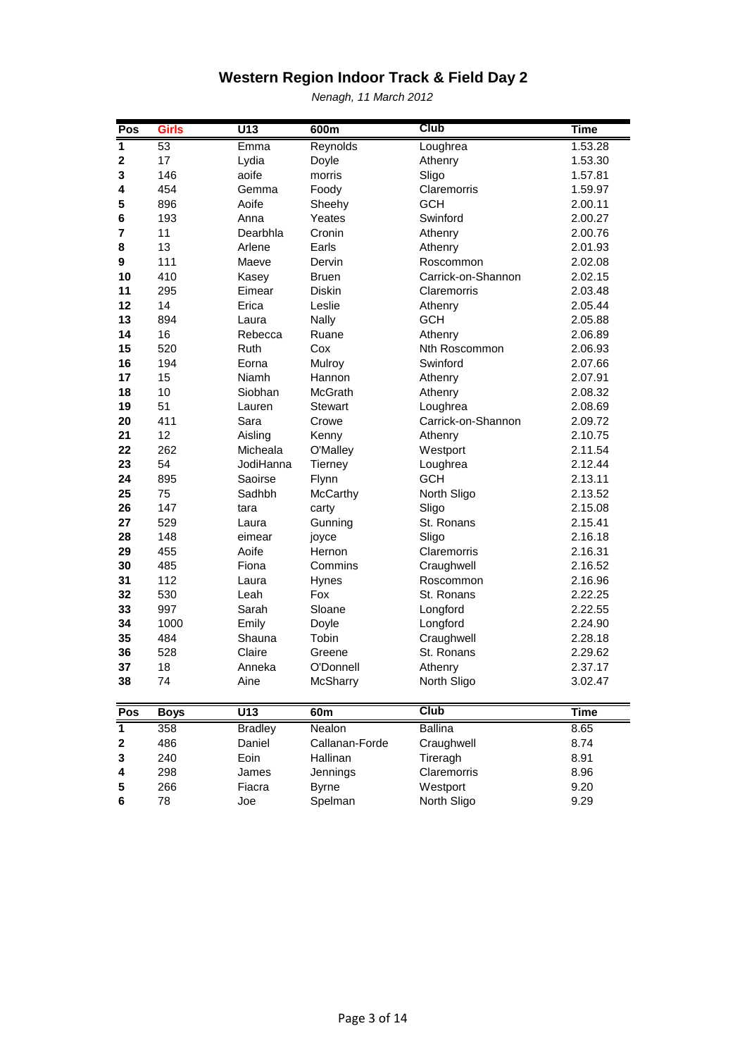| Pos                     | <b>Girls</b> | $\overline{U13}$ | 600m            | Club               | <b>Time</b> |
|-------------------------|--------------|------------------|-----------------|--------------------|-------------|
| 1                       | 53           | Emma             | Reynolds        | Loughrea           | 1.53.28     |
| $\mathbf 2$             | 17           | Lydia            | Doyle           | Athenry            | 1.53.30     |
| 3                       | 146          | aoife            | morris          | Sligo              | 1.57.81     |
| 4                       | 454          | Gemma            | Foody           | Claremorris        | 1.59.97     |
| 5                       | 896          | Aoife            | Sheehy          | <b>GCH</b>         | 2.00.11     |
| 6                       | 193          | Anna             | Yeates          | Swinford           | 2.00.27     |
| 7                       | 11           | Dearbhla         | Cronin          | Athenry            | 2.00.76     |
| 8                       | 13           | Arlene           | Earls           | Athenry            | 2.01.93     |
| 9                       | 111          | Maeve            | Dervin          | Roscommon          | 2.02.08     |
| 10                      | 410          | Kasey            | <b>Bruen</b>    | Carrick-on-Shannon | 2.02.15     |
| 11                      | 295          | Eimear           | Diskin          | Claremorris        | 2.03.48     |
| 12                      | 14           | Erica            | Leslie          | Athenry            | 2.05.44     |
| 13                      | 894          | Laura            | Nally           | <b>GCH</b>         | 2.05.88     |
| 14                      | 16           | Rebecca          | Ruane           | Athenry            | 2.06.89     |
| 15                      | 520          | Ruth             | Cox             | Nth Roscommon      | 2.06.93     |
| 16                      | 194          | Eorna            | Mulroy          | Swinford           | 2.07.66     |
| 17                      | 15           | Niamh            | Hannon          | Athenry            | 2.07.91     |
| 18                      | 10           | Siobhan          | McGrath         | Athenry            | 2.08.32     |
| 19                      | 51           | Lauren           | <b>Stewart</b>  | Loughrea           | 2.08.69     |
| 20                      | 411          | Sara             | Crowe           | Carrick-on-Shannon | 2.09.72     |
| 21                      | 12           | Aisling          | Kenny           | Athenry            | 2.10.75     |
| 22                      | 262          | Micheala         | O'Malley        | Westport           | 2.11.54     |
| 23                      | 54           | JodiHanna        | Tierney         | Loughrea           | 2.12.44     |
| 24                      | 895          | Saoirse          | Flynn           | <b>GCH</b>         | 2.13.11     |
| 25                      | 75           | Sadhbh           | McCarthy        | North Sligo        | 2.13.52     |
| 26                      | 147          | tara             | carty           | Sligo              | 2.15.08     |
| 27                      | 529          | Laura            | Gunning         | St. Ronans         | 2.15.41     |
| 28                      | 148          | eimear           | joyce           | Sligo              | 2.16.18     |
| 29                      | 455          | Aoife            | Hernon          | Claremorris        | 2.16.31     |
| 30                      | 485          | Fiona            | Commins         | Craughwell         | 2.16.52     |
| 31                      | 112          | Laura            | Hynes           | Roscommon          | 2.16.96     |
| 32                      | 530          | Leah             | Fox             | St. Ronans         | 2.22.25     |
| 33                      | 997          | Sarah            | Sloane          | Longford           | 2.22.55     |
| 34                      | 1000         | Emily            | Doyle           | Longford           | 2.24.90     |
| 35                      | 484          | Shauna           | Tobin           | Craughwell         | 2.28.18     |
| 36                      | 528          | Claire           | Greene          | St. Ronans         | 2.29.62     |
| 37                      | 18           | Anneka           | O'Donnell       | Athenry            | 2.37.17     |
| 38                      | 74           | Aine             | McSharry        | North Sligo        | 3.02.47     |
| Pos                     | <b>Boys</b>  | $\overline{U13}$ | 60 <sub>m</sub> | <b>Club</b>        | <b>Time</b> |
| $\overline{\mathbf{1}}$ | 358          | <b>Bradley</b>   | <b>Nealon</b>   | <b>Ballina</b>     | 8.65        |
| 2                       | 486          | Daniel           | Callanan-Forde  | Craughwell         | 8.74        |
| 3                       | 240          | Eoin             | Hallinan        | Tireragh           | 8.91        |
| 4                       | 298          | James            | Jennings        | Claremorris        | 8.96        |
| 5                       | 266          | Fiacra           | <b>Byrne</b>    | Westport           | 9.20        |
| 6                       | 78           | Joe              | Spelman         | North Sligo        | 9.29        |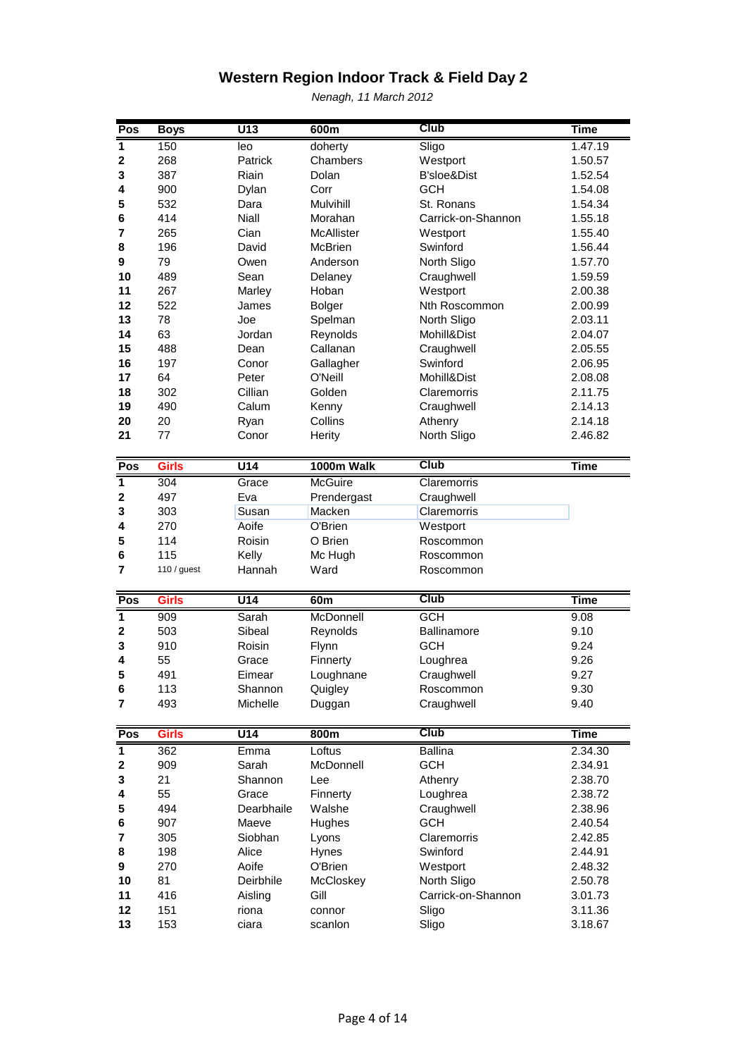| Pos                     | <b>Boys</b>  | $\overline{U13}$ | 600m                 | Club               | <b>Time</b>        |
|-------------------------|--------------|------------------|----------------------|--------------------|--------------------|
| 1                       | 150          | leo              | doherty              | Sligo              | 1.47.19            |
| 2                       | 268          | Patrick          | Chambers             | Westport           | 1.50.57            |
| 3                       | 387          | Riain            | Dolan                | B'sloe&Dist        | 1.52.54            |
| 4                       | 900          | Dylan            | Corr                 | <b>GCH</b>         | 1.54.08            |
| 5                       | 532          | Dara             | Mulvihill            | St. Ronans         | 1.54.34            |
| 6                       | 414          | <b>Niall</b>     | Morahan              | Carrick-on-Shannon | 1.55.18            |
| 7                       | 265          | Cian             | McAllister           | Westport           | 1.55.40            |
| 8                       | 196          | David            | McBrien              | Swinford           | 1.56.44            |
| 9                       | 79           | Owen             | Anderson             | North Sligo        | 1.57.70            |
| 10                      | 489          | Sean             | Delaney              | Craughwell         | 1.59.59            |
| 11                      | 267          | Marley           | Hoban                | Westport           | 2.00.38            |
| 12                      | 522          | James            | <b>Bolger</b>        | Nth Roscommon      | 2.00.99            |
| 13                      | 78           | Joe              | Spelman              | North Sligo        | 2.03.11            |
| 14                      | 63           | Jordan           |                      | Mohill&Dist        | 2.04.07            |
| 15                      | 488          | Dean             | Reynolds<br>Callanan | Craughwell         | 2.05.55            |
| 16                      | 197          | Conor            |                      | Swinford           |                    |
|                         | 64           | Peter            | Gallagher<br>O'Neill |                    | 2.06.95            |
| 17                      |              |                  |                      | Mohill&Dist        | 2.08.08            |
| 18                      | 302          | Cillian          | Golden               | Claremorris        | 2.11.75            |
| 19                      | 490          | Calum            | Kenny                | Craughwell         | 2.14.13            |
| 20                      | 20           | Ryan             | Collins              | Athenry            | 2.14.18            |
| 21                      | 77           | Conor            | Herity               | North Sligo        | 2.46.82            |
|                         | <b>Girls</b> |                  |                      | Club               |                    |
| $P_{OS}$                |              | $\overline{U14}$ | 1000m Walk           |                    | <b>Time</b>        |
| $\overline{1}$          | 304          | Grace            | McGuire              | Claremorris        |                    |
| $\mathbf 2$             | 497          | Eva              | Prendergast          | Craughwell         |                    |
| 3                       | 303          | Susan            | Macken               | Claremorris        |                    |
| 4                       | 270          | Aoife            | O'Brien              | Westport           |                    |
| 5                       | 114          | <b>Roisin</b>    | O Brien              | Roscommon          |                    |
| 6                       | 115          | Kelly            | Mc Hugh              | Roscommon          |                    |
| 7                       | 110 / guest  | Hannah           | Ward                 | Roscommon          |                    |
| Pos                     | <b>Girls</b> | U <sub>14</sub>  | 60m                  | <b>Club</b>        | <b>Time</b>        |
| $\overline{\mathbf{1}}$ | 909          | Sarah            | McDonnell            | <b>GCH</b>         | 9.08               |
| 2                       | 503          | Sibeal           | Reynolds             | Ballinamore        | 9.10               |
| 3                       | 910          | Roisin           | Flynn                | <b>GCH</b>         | 9.24               |
| 4                       | 55           | Grace            | Finnerty             | Loughrea           | 9.26               |
| 5                       | 491          | Eimear           | Loughnane            | Craughwell         | 9.27               |
| 6                       | 113          | Shannon          | Quigley              | Roscommon          | 9.30               |
| $\overline{7}$          | 493          | Michelle         | Duggan               | Craughwell         | 9.40               |
|                         |              |                  |                      |                    |                    |
| Pos                     | <b>Girls</b> | $\overline{U14}$ | 800m                 | Club               | <b>Time</b>        |
| $\overline{1}$          | 362          | Emma             | Loftus               | <b>Ballina</b>     | 2.34.30            |
| 2                       | 909          | Sarah            | McDonnell            | <b>GCH</b>         | 2.34.91            |
| 3                       | 21           | Shannon          | Lee                  | Athenry            | 2.38.70            |
| 4                       | 55           | Grace            | Finnerty             | Loughrea           | 2.38.72            |
| 5                       | 494          | Dearbhaile       | Walshe               | Craughwell         | 2.38.96            |
| 6                       | 907          | Maeve            | Hughes               | <b>GCH</b>         | 2.40.54            |
| 7                       | 305          | Siobhan          | Lyons                | Claremorris        | 2.42.85            |
| 8                       | 198          | Alice            | Hynes                | Swinford           | 2.44.91            |
| 9                       | 270          | Aoife            | O'Brien              | Westport           | 2.48.32            |
| 10                      | 81           | Deirbhile        | McCloskey            | North Sligo        | 2.50.78            |
| 11                      | 416          | Aisling          | Gill                 | Carrick-on-Shannon | 3.01.73            |
|                         |              |                  |                      |                    |                    |
|                         |              |                  |                      |                    |                    |
| 12<br>13                | 151<br>153   | riona<br>ciara   | connor<br>scanlon    | Sligo<br>Sligo     | 3.11.36<br>3.18.67 |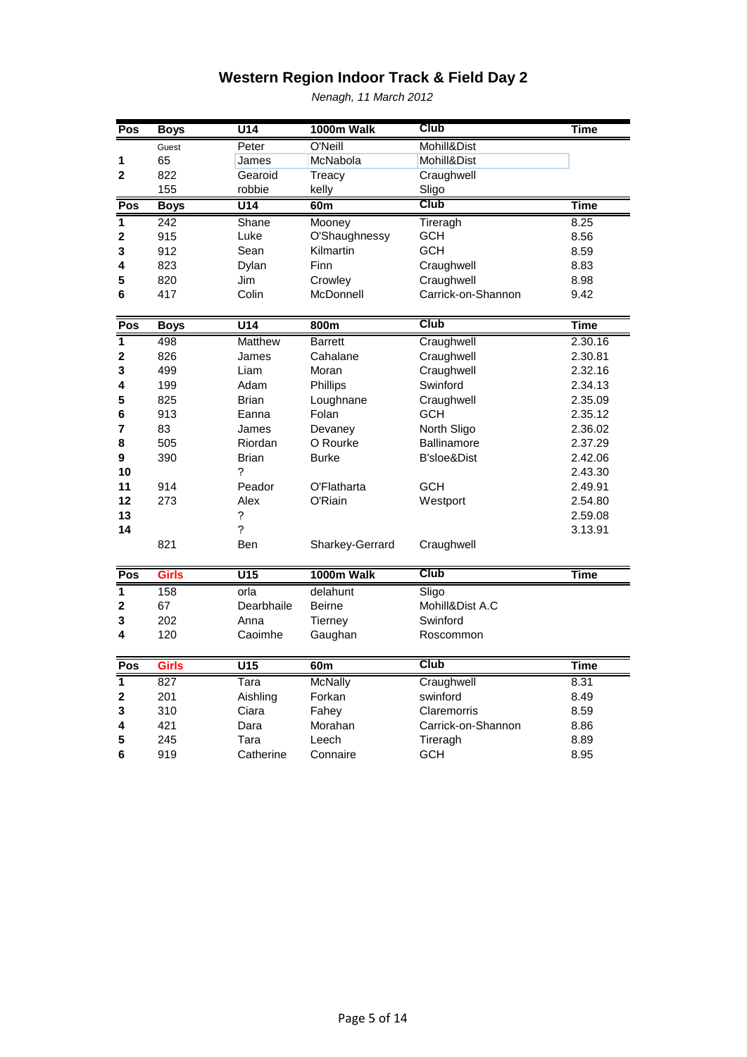| Pos                     | <b>Boys</b>  | $U$ 14           | 1000m Walk      | Club               | <b>Time</b> |
|-------------------------|--------------|------------------|-----------------|--------------------|-------------|
|                         | Guest        | Peter            | O'Neill         | Mohill&Dist        |             |
| 1                       | 65           | James            | McNabola        | Mohill&Dist        |             |
| $\mathbf{2}$            | 822          | Gearoid          | Treacy          | Craughwell         |             |
|                         | 155          | robbie           | kelly           | Sligo              |             |
| Pos                     | <b>Boys</b>  | $\overline{U14}$ | 60 <sub>m</sub> | <b>Club</b>        | <b>Time</b> |
| $\overline{\mathbf{1}}$ | 242          | Shane            | Mooney          | Tireragh           | 8.25        |
| $\overline{\mathbf{c}}$ | 915          | Luke             | O'Shaughnessy   | GCH                | 8.56        |
| 3                       | 912          | Sean             | Kilmartin       | <b>GCH</b>         | 8.59        |
| 4                       | 823          | Dylan            | Finn            | Craughwell         | 8.83        |
| 5                       | 820          | Jim              | Crowley         | Craughwell         | 8.98        |
| 6                       | 417          | Colin            | McDonnell       | Carrick-on-Shannon | 9.42        |
| Pos                     | <b>Boys</b>  | U14              | 800m            | <b>Club</b>        | <b>Time</b> |
| $\overline{\mathbf{1}}$ | 498          | Matthew          | <b>Barrett</b>  | Craughwell         | 2.30.16     |
| 2                       | 826          | James            | Cahalane        | Craughwell         | 2.30.81     |
| 3                       | 499          | Liam             | Moran           | Craughwell         | 2.32.16     |
| 4                       | 199          | Adam             | Phillips        | Swinford           | 2.34.13     |
| 5                       | 825          | <b>Brian</b>     | Loughnane       | Craughwell         | 2.35.09     |
| 6                       | 913          | Eanna            | Folan           | <b>GCH</b>         | 2.35.12     |
| 7                       | 83           | James            | Devaney         | North Sligo        | 2.36.02     |
| 8                       | 505          | Riordan          | O Rourke        | <b>Ballinamore</b> | 2.37.29     |
| 9                       | 390          | <b>Brian</b>     | <b>Burke</b>    | B'sloe&Dist        | 2.42.06     |
| 10                      |              | ?                |                 |                    | 2.43.30     |
| 11                      | 914          | Peador           | O'Flatharta     | <b>GCH</b>         | 2.49.91     |
| 12                      | 273          | Alex             | O'Riain         | Westport           | 2.54.80     |
| 13                      |              | ?                |                 |                    | 2.59.08     |
| 14                      |              | ?                |                 |                    | 3.13.91     |
|                         | 821          | Ben              | Sharkey-Gerrard | Craughwell         |             |
| Pos                     | <b>Girls</b> | $\overline{U15}$ | 1000m Walk      | <b>Club</b>        | <b>Time</b> |
| $\overline{\mathbf{1}}$ | 158          | orla             | delahunt        | Sligo              |             |
| $\overline{\mathbf{c}}$ | 67           | Dearbhaile       | <b>Beirne</b>   | Mohill&Dist A.C    |             |
| 3                       | 202          | Anna             | Tierney         | Swinford           |             |
| 4                       | 120          | Caoimhe          | Gaughan         | Roscommon          |             |
| Pos                     | <b>Girls</b> | $\overline{U15}$ | 60 <sub>m</sub> | <b>Club</b>        | <b>Time</b> |
| $\overline{\mathbf{1}}$ | 827          | Tara             | <b>McNally</b>  | Craughwell         | 8.31        |
| 2                       | 201          | Aishling         | Forkan          | swinford           | 8.49        |
| 3                       | 310          | Ciara            | Fahey           | Claremorris        | 8.59        |
| 4                       | 421          | Dara             | Morahan         | Carrick-on-Shannon | 8.86        |
| 5                       | 245          | Tara             | Leech           | Tireragh           | 8.89        |
| 6                       | 919          | Catherine        | Connaire        | <b>GCH</b>         | 8.95        |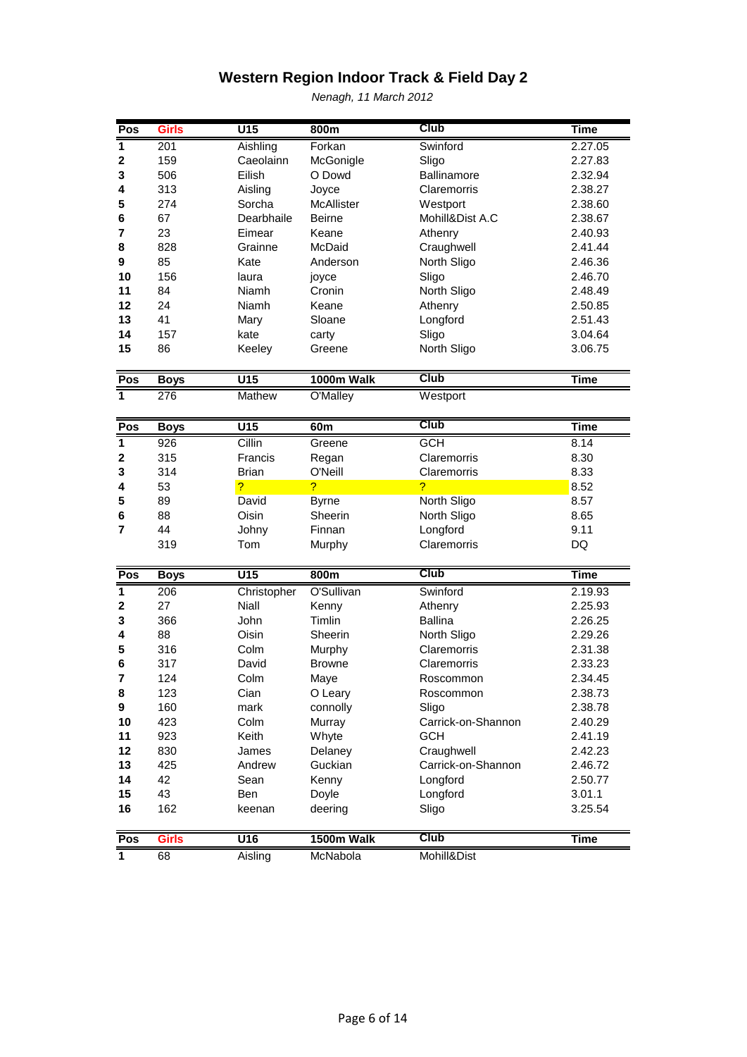| Pos                     | <b>Girls</b> | $\overline{U15}$ | 800m           | Club                     | <b>Time</b> |
|-------------------------|--------------|------------------|----------------|--------------------------|-------------|
| $\overline{1}$          | 201          | Aishling         | Forkan         | Swinford                 | 2.27.05     |
| $\mathbf 2$             | 159          | Caeolainn        | McGonigle      | Sligo                    | 2.27.83     |
| 3                       | 506          | Eilish           | O Dowd         | Ballinamore              | 2.32.94     |
| 4                       | 313          | Aisling          | Joyce          | Claremorris              | 2.38.27     |
| 5                       | 274          | Sorcha           | McAllister     | Westport                 | 2.38.60     |
| 6                       | 67           | Dearbhaile       | <b>Beirne</b>  | Mohill&Dist A.C          | 2.38.67     |
| 7                       | 23           | Eimear           | Keane          | Athenry                  | 2.40.93     |
| 8                       | 828          | Grainne          | McDaid         | Craughwell               | 2.41.44     |
| 9                       | 85           | Kate             | Anderson       | North Sligo              | 2.46.36     |
| 10                      | 156          | laura            | joyce          | Sligo                    | 2.46.70     |
| 11                      | 84           | <b>Niamh</b>     | Cronin         | North Sligo              | 2.48.49     |
| 12                      | 24           | Niamh            | Keane          | Athenry                  | 2.50.85     |
| 13                      | 41           | Mary             | Sloane         | Longford                 | 2.51.43     |
| 14                      | 157          | kate             | carty          | Sligo                    | 3.04.64     |
| 15                      | 86           | Keeley           | Greene         | North Sligo              | 3.06.75     |
|                         |              |                  |                |                          |             |
| Pos                     | <b>Boys</b>  | U15              | 1000m Walk     | $\overline{\text{Club}}$ | <b>Time</b> |
| $\overline{\mathbf{1}}$ | 276          | Mathew           | O'Malley       | Westport                 |             |
|                         |              |                  |                |                          |             |
| Pos                     | <b>Boys</b>  | $\overline{U15}$ | 60m            | <b>Club</b>              | <b>Time</b> |
| $\overline{\mathbf{1}}$ | 926          | Cillin           | Greene         | <b>GCH</b>               | 8.14        |
| $\mathbf 2$             | 315          | Francis          | Regan          | Claremorris              | 8.30        |
| 3                       | 314          | <b>Brian</b>     | O'Neill        | Claremorris              | 8.33        |
| 4                       | 53           | ?                | $\overline{?}$ | $\overline{?}$           | 8.52        |
| 5                       | 89           | David            | <b>Byrne</b>   | North Sligo              | 8.57        |
| 6                       | 88           | Oisin            | Sheerin        | North Sligo              | 8.65        |
| $\overline{7}$          | 44           | Johny            | Finnan         | Longford                 | 9.11        |
|                         | 319          | Tom              | Murphy         | Claremorris              | DQ          |
|                         |              |                  |                | Club                     |             |
| Pos                     | <b>Boys</b>  | $\overline{U15}$ | 800m           |                          | <b>Time</b> |
| $\overline{1}$          | 206          | Christopher      | O'Sullivan     | Swinford                 | 2.19.93     |
| 2                       | 27           | Niall            | Kenny          | Athenry                  | 2.25.93     |
| 3                       | 366          | John             | Timlin         | <b>Ballina</b>           | 2.26.25     |
| 4                       | 88           | Oisin            | Sheerin        | North Sligo              | 2.29.26     |
| 5                       | 316          | Colm             | Murphy         | Claremorris              | 2.31.38     |
| 6                       | 317          | David            | <b>Browne</b>  | Claremorris              | 2.33.23     |
| 7                       | 124          | Colm             | Maye           | Roscommon                | 2.34.45     |
| 8                       | 123          | Cian             | O Leary        | Roscommon                | 2.38.73     |
| 9                       | 160          | mark             | connolly       | Sligo                    | 2.38.78     |
| 10                      | 423          | Colm             | Murray         | Carrick-on-Shannon       | 2.40.29     |
| 11                      | 923          | Keith            | Whyte          | <b>GCH</b>               | 2.41.19     |
| 12                      | 830          | James            | Delaney        | Craughwell               | 2.42.23     |
| 13                      | 425          | Andrew           | Guckian        | Carrick-on-Shannon       | 2.46.72     |
| 14                      | 42           | Sean             | Kenny          | Longford                 | 2.50.77     |
| 15                      | 43           | Ben              | Doyle          | Longford                 | 3.01.1      |
| 16                      | 162          | keenan           | deering        | Sligo                    | 3.25.54     |
|                         |              |                  | 1500m Walk     | Club                     |             |
| Pos                     | <b>Girls</b> | U16              |                |                          | Time        |
| 1                       | 68           | Aisling          | McNabola       | Mohill&Dist              |             |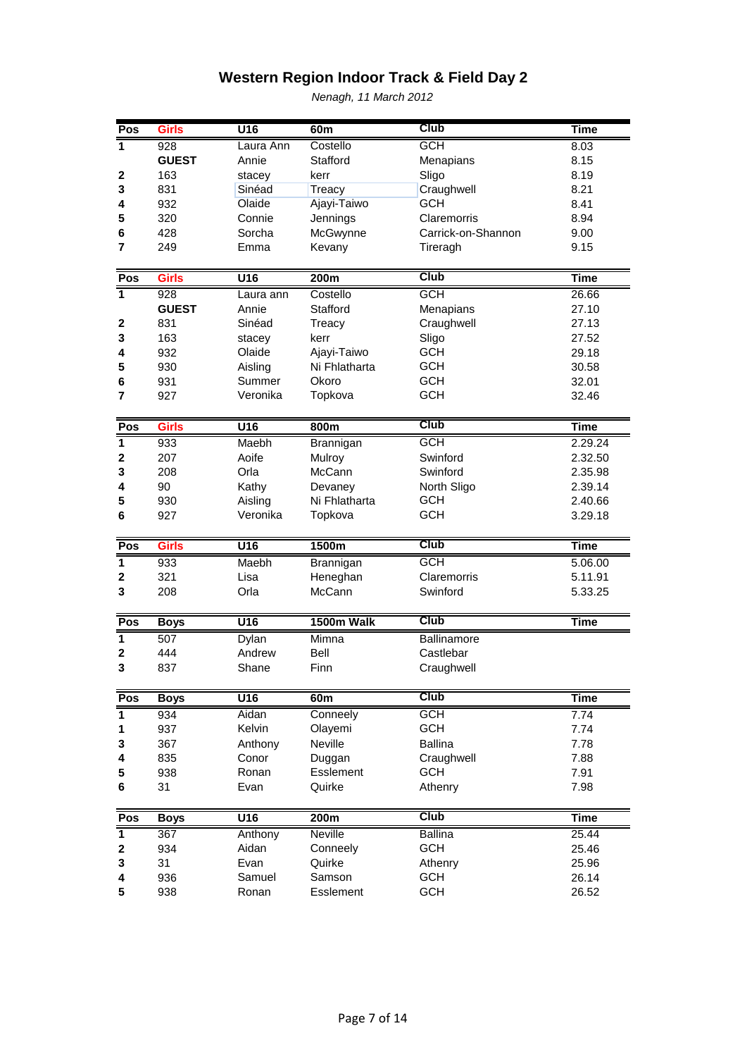| Pos                     | <b>Girls</b> | U16              | 60 <sub>m</sub> | <b>Club</b>        | <b>Time</b> |
|-------------------------|--------------|------------------|-----------------|--------------------|-------------|
| $\overline{1}$          | 928          | Laura Ann        | Costello        | <b>GCH</b>         | 8.03        |
|                         | <b>GUEST</b> | Annie            | Stafford        | Menapians          | 8.15        |
| 2                       | 163          | stacey           | kerr            | Sligo              | 8.19        |
| 3                       | 831          | Sinéad           | Treacy          | Craughwell         | 8.21        |
| 4                       | 932          | Olaide           | Ajayi-Taiwo     | <b>GCH</b>         | 8.41        |
| 5                       | 320          | Connie           | Jennings        | Claremorris        | 8.94        |
| 6                       | 428          | Sorcha           | McGwynne        | Carrick-on-Shannon | 9.00        |
| 7                       | 249          | Emma             | Kevany          | Tireragh           | 9.15        |
|                         |              |                  |                 |                    |             |
| Pos                     | <b>Girls</b> | U <sub>16</sub>  | 200m            | <b>Club</b>        | <b>Time</b> |
| ₹                       | 928          | Laura ann        | Costello        | <b>GCH</b>         | 26.66       |
|                         | <b>GUEST</b> | Annie            | Stafford        | Menapians          | 27.10       |
| 2                       | 831          | Sinéad           | Treacy          | Craughwell         | 27.13       |
| 3                       | 163          | stacey           | kerr            | Sligo              | 27.52       |
| 4                       | 932          | Olaide           | Ajayi-Taiwo     | <b>GCH</b>         | 29.18       |
| 5                       | 930          | Aisling          | Ni Fhlatharta   | <b>GCH</b>         | 30.58       |
| 6                       | 931          | Summer           | Okoro           | <b>GCH</b>         | 32.01       |
| 7                       | 927          | Veronika         | Topkova         | <b>GCH</b>         | 32.46       |
|                         |              |                  |                 |                    |             |
| Pos                     | <b>Girls</b> | $\overline{U16}$ | 800m            | <b>Club</b>        | <b>Time</b> |
| $\overline{1}$          | 933          | Maebh            | Brannigan       | <b>GCH</b>         | 2.29.24     |
| 2                       | 207          | Aoife            | Mulroy          | Swinford           | 2.32.50     |
| 3                       | 208          | Orla             | McCann          | Swinford           | 2.35.98     |
| 4                       | 90           | Kathy            | Devaney         | North Sligo        | 2.39.14     |
| 5                       | 930          | Aisling          | Ni Fhlatharta   | <b>GCH</b>         | 2.40.66     |
| 6                       | 927          | Veronika         | Topkova         | <b>GCH</b>         | 3.29.18     |
|                         |              |                  |                 |                    |             |
| Pos                     | <b>Girls</b> | U <sub>16</sub>  | 1500m           | <b>Club</b>        | <b>Time</b> |
| $\overline{\mathbf{1}}$ | 933          | Maebh            | Brannigan       | <b>GCH</b>         | 5.06.00     |
| $\mathbf 2$             | 321          | Lisa             | Heneghan        | Claremorris        | 5.11.91     |
| 3                       | 208          | Orla             | McCann          | Swinford           | 5.33.25     |
|                         |              |                  |                 | <b>Club</b>        |             |
| Pos                     | <b>Boys</b>  | <b>U16</b>       | 1500m Walk      |                    | <b>Time</b> |
| $\overline{1}$          | 507          | Dylan            | Mimna           | Ballinamore        |             |
| $\mathbf 2$             | 444          | Andrew           | <b>Bell</b>     | Castlebar          |             |
| 3                       | 837          | Shane            | Finn            | Craughwell         |             |
| Pos                     | <b>Boys</b>  | U16              | 60m             | <b>Club</b>        | <b>Time</b> |
| $\overline{\mathbf{1}}$ | 934          | Aidan            | Conneely        | <b>GCH</b>         | 7.74        |
| 1                       | 937          | Kelvin           | Olayemi         | <b>GCH</b>         | 7.74        |
| 3                       | 367          | Anthony          | Neville         | <b>Ballina</b>     | 7.78        |
| 4                       | 835          | Conor            | Duggan          | Craughwell         | 7.88        |
| 5                       | 938          | Ronan            | Esslement       | <b>GCH</b>         | 7.91        |
| 6                       | 31           | Evan             | Quirke          | Athenry            | 7.98        |
|                         |              |                  |                 |                    |             |
| Pos                     | <b>Boys</b>  | U16              | 200m            | <b>Club</b>        | <b>Time</b> |
| $\overline{\mathbf{1}}$ | 367          | Anthony          | <b>Neville</b>  | <b>Ballina</b>     | 25.44       |
| 2                       | 934          | Aidan            | Conneely        | <b>GCH</b>         | 25.46       |
| 3                       | 31           | Evan             | Quirke          | Athenry            | 25.96       |
| 4                       | 936          | Samuel           | Samson          | <b>GCH</b>         | 26.14       |
| 5                       | 938          | Ronan            | Esslement       | <b>GCH</b>         | 26.52       |
|                         |              |                  |                 |                    |             |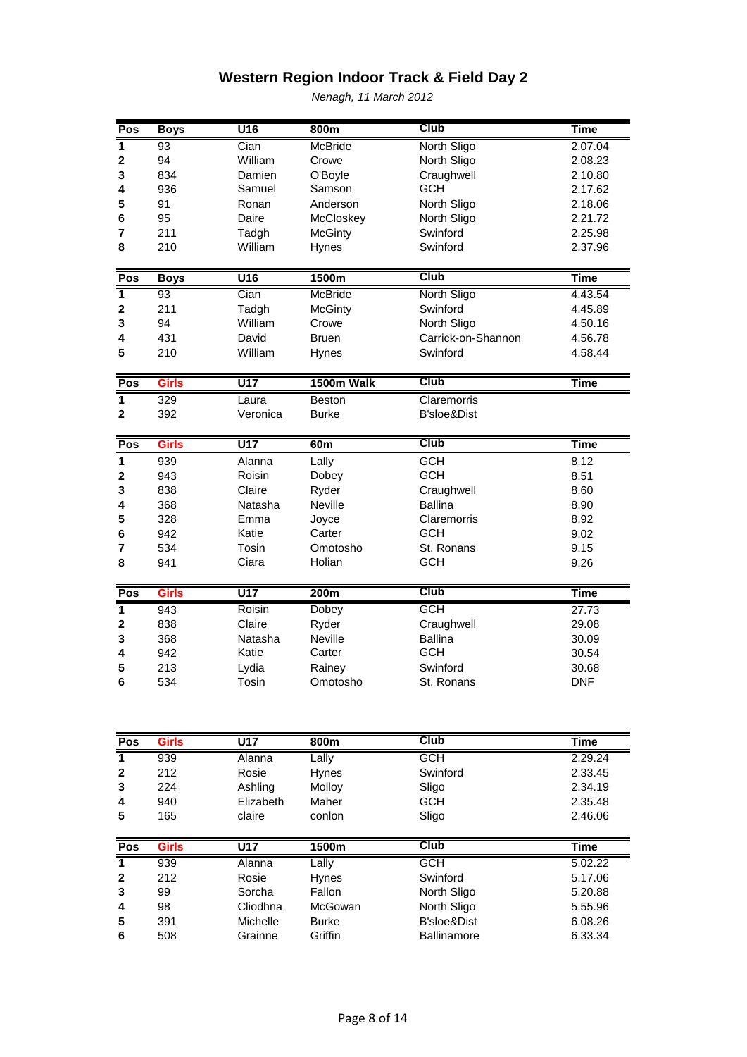| Pos                     | <b>Boys</b>  | $\overline{U}$ 16 | 800m           | Club               | <b>Time</b> |
|-------------------------|--------------|-------------------|----------------|--------------------|-------------|
| $\overline{\mathbf{1}}$ | 93           | Cian              | <b>McBride</b> | North Sligo        | 2.07.04     |
| $\mathbf 2$             | 94           | William           | Crowe          | North Sligo        | 2.08.23     |
| 3                       | 834          | Damien            | O'Boyle        | Craughwell         | 2.10.80     |
| 4                       | 936          | Samuel            | Samson         | <b>GCH</b>         | 2.17.62     |
| 5                       | 91           | Ronan             | Anderson       | North Sligo        | 2.18.06     |
| 6                       | 95           | Daire             | McCloskey      | North Sligo        | 2.21.72     |
| 7                       | 211          | Tadgh             | <b>McGinty</b> | Swinford           | 2.25.98     |
| 8                       | 210          | William           | Hynes          | Swinford           | 2.37.96     |
|                         |              |                   |                |                    |             |
| Pos                     | <b>Boys</b>  | $\overline{U16}$  | 1500m          | <b>Club</b>        | <b>Time</b> |
| $\overline{\mathbf{1}}$ | 93           | Cian              | <b>McBride</b> | North Sligo        | 4.43.54     |
| $\mathbf 2$             | 211          | Tadgh             | <b>McGinty</b> | Swinford           | 4.45.89     |
| 3                       | 94           | William           | Crowe          | North Sligo        | 4.50.16     |
| 4                       | 431          | David             | <b>Bruen</b>   | Carrick-on-Shannon | 4.56.78     |
| 5                       | 210          | William           | Hynes          | Swinford           | 4.58.44     |
|                         |              |                   |                |                    |             |
| Pos                     | <b>Girls</b> | $\overline{U17}$  | 1500m Walk     | <b>Club</b>        | <b>Time</b> |
| $\overline{\mathbf{1}}$ | 329          | Laura             | <b>Beston</b>  | Claremorris        |             |
| $\overline{\mathbf{2}}$ | 392          | Veronica          | <b>Burke</b>   | B'sloe&Dist        |             |
|                         |              |                   |                |                    |             |
|                         |              |                   |                |                    |             |
| Pos                     | <b>Girls</b> | $\overline{U17}$  | 60m            | <b>Club</b>        | <b>Time</b> |
| $\overline{1}$          | 939          | Alanna            | Lally          | <b>GCH</b>         | 8.12        |
| $\overline{\mathbf{2}}$ | 943          | Roisin            | Dobey          | <b>GCH</b>         | 8.51        |
| 3                       | 838          | Claire            | Ryder          | Craughwell         | 8.60        |
| 4                       | 368          | Natasha           | <b>Neville</b> | <b>Ballina</b>     | 8.90        |
| 5                       | 328          | Emma              | Joyce          | Claremorris        | 8.92        |
| 6                       | 942          | Katie             | Carter         | <b>GCH</b>         | 9.02        |
| 7                       | 534          | Tosin             | Omotosho       | St. Ronans         | 9.15        |
| 8                       | 941          | Ciara             | Holian         | <b>GCH</b>         | 9.26        |
|                         |              |                   |                |                    |             |
| Pos                     | <b>Girls</b> | $\overline{U17}$  | 200m           | <b>Club</b>        | <b>Time</b> |
| $\overline{\mathbf{1}}$ | 943          | Roisin            | Dobey          | <b>GCH</b>         | 27.73       |
| $\overline{\mathbf{2}}$ | 838          | Claire            | Ryder          | Craughwell         | 29.08       |
| 3                       | 368          | Natasha           | Neville        | Ballina            | 30.09       |
| 4                       | 942          | Katie             | Carter         | GCH                | 30.54       |
| 5                       | 213          | Lydia             | Rainey         | Swinford           | 30.68       |
| 6                       | 534          | Tosin             | Omotosho       | St. Ronans         | <b>DNF</b>  |
|                         |              |                   |                |                    |             |
|                         |              |                   |                |                    |             |
|                         | <b>Girls</b> | $\overline{U17}$  | 800m           | Club               | <b>Time</b> |

| Pos | Girls | U17       | 800m          | ∪lub     | l ıme   |
|-----|-------|-----------|---------------|----------|---------|
|     | 939   | Alanna    | Lally         | GCH      | 2.29.24 |
|     | 212   | Rosie     | <b>H</b> vnes | Swinford | 2.33.45 |
| 3   | 224   | Ashling   | Molloy        | Sligo    | 2.34.19 |
| 4   | 940   | Elizabeth | Maher         | GCH      | 2.35.48 |
| 5   | 165   | claire    | conlon        | Sligo    | 2.46.06 |

| Pos          | Girls | U17      | 1500m        | Club               | Time    |
|--------------|-------|----------|--------------|--------------------|---------|
| 1            | 939   | Alanna   | ∟ally        | <b>GCH</b>         | 5.02.22 |
| $\mathbf{2}$ | 212   | Rosie    | <b>Hynes</b> | Swinford           | 5.17.06 |
| 3            | 99    | Sorcha   | Fallon       | North Sligo        | 5.20.88 |
| 4            | 98    | Cliodhna | McGowan      | North Sligo        | 5.55.96 |
| 5            | 391   | Michelle | <b>Burke</b> | B'sloe&Dist        | 6.08.26 |
| 6            | 508   | Grainne  | Griffin      | <b>Ballinamore</b> | 6.33.34 |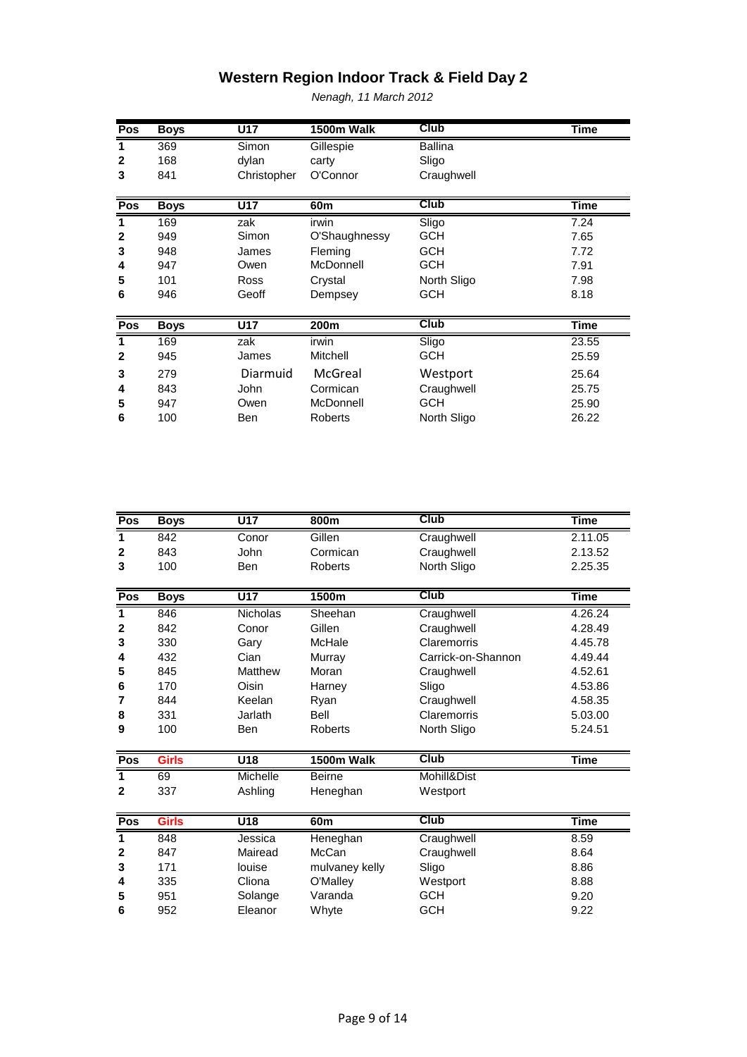| Pos          | <b>Boys</b> | U17         | 1500m Walk       | Club           | <b>Time</b> |
|--------------|-------------|-------------|------------------|----------------|-------------|
| 1            | 369         | Simon       | Gillespie        | <b>Ballina</b> |             |
| $\mathbf{2}$ | 168         | dylan       | carty            | Sligo          |             |
| 3            | 841         | Christopher | O'Connor         | Craughwell     |             |
|              |             |             |                  |                |             |
| Pos          | <b>Boys</b> | U17         | 60 <sub>m</sub>  | Club           | <b>Time</b> |
| 1            | 169         | zak         | irwin            | Sligo          | 7.24        |
| $\mathbf{2}$ | 949         | Simon       | O'Shaughnessy    | <b>GCH</b>     | 7.65        |
| 3            | 948         | James       | Fleming          | <b>GCH</b>     | 7.72        |
| 4            | 947         | Owen        | McDonnell        | <b>GCH</b>     | 7.91        |
| 5            | 101         | Ross        | Crystal          | North Sligo    | 7.98        |
| 6            | 946         | Geoff       | Dempsey          | <b>GCH</b>     | 8.18        |
|              |             |             |                  |                |             |
| Pos          | <b>Boys</b> | U17         | 200 <sub>m</sub> | <b>Club</b>    | Time        |
| 1            | 169         | zak         | irwin            | Sligo          | 23.55       |
| $\mathbf{2}$ | 945         | James       | Mitchell         | <b>GCH</b>     | 25.59       |
| 3            | 279         | Diarmuid    | McGreal          | Westport       | 25.64       |
| 4            | 843         | <b>John</b> | Cormican         | Craughwell     | 25.75       |
| 5            | 947         | Owen        | McDonnell        | <b>GCH</b>     | 25.90       |
| 6            | 100         | Ben         | Roberts          | North Sligo    | 26.22       |
|              |             |             |                  |                |             |

| Pos          | <b>Boys</b>  | $\overline{U17}$ | 800m            | <b>Club</b>        | <b>Time</b> |
|--------------|--------------|------------------|-----------------|--------------------|-------------|
| 1            | 842          | Conor            | Gillen          | Craughwell         | 2.11.05     |
| $\mathbf{2}$ | 843          | John             | Cormican        | Craughwell         | 2.13.52     |
| 3            | 100          | Ben              | <b>Roberts</b>  | North Sligo        | 2.25.35     |
|              |              |                  |                 |                    |             |
| Pos          | <b>Boys</b>  | U17              | 1500m           | <b>Club</b>        | <b>Time</b> |
| 1            | 846          | <b>Nicholas</b>  | Sheehan         | Craughwell         | 4.26.24     |
| 2            | 842          | Conor            | Gillen          | Craughwell         | 4.28.49     |
| 3            | 330          | Gary             | McHale          | Claremorris        | 4.45.78     |
| 4            | 432          | Cian             | Murray          | Carrick-on-Shannon | 4.49.44     |
| 5            | 845          | Matthew          | Moran           | Craughwell         | 4.52.61     |
| 6            | 170          | Oisin            | Harney          | Sligo              | 4.53.86     |
| 7            | 844          | Keelan           | Ryan            | Craughwell         | 4.58.35     |
| 8            | 331          | Jarlath          | <b>Bell</b>     | Claremorris        | 5.03.00     |
| 9            | 100          | Ben              | <b>Roberts</b>  | North Sligo        | 5.24.51     |
|              |              |                  |                 |                    |             |
| Pos          | <b>Girls</b> | $\overline{U18}$ | 1500m Walk      | <b>Club</b>        | <b>Time</b> |
| 1            | 69           | Michelle         | <b>Beirne</b>   | Mohill&Dist        |             |
| $\mathbf 2$  | 337          | Ashling          | Heneghan        | Westport           |             |
|              |              |                  |                 |                    |             |
| Pos          | <b>Girls</b> | $\overline{U18}$ | 60 <sub>m</sub> | <b>Club</b>        | <b>Time</b> |
| 1            | 848          | Jessica          | Heneghan        | Craughwell         | 8.59        |
| 2            | 847          | Mairead          | McCan           | Craughwell         | 8.64        |
| 3            | 171          | louise           | mulvaney kelly  | Sligo              | 8.86        |
| 4            | 335          | Cliona           | O'Malley        | Westport           | 8.88        |
| 5            | 951          | Solange          | Varanda         | <b>GCH</b>         | 9.20        |
| 6            | 952          | Eleanor          | Whyte           | <b>GCH</b>         | 9.22        |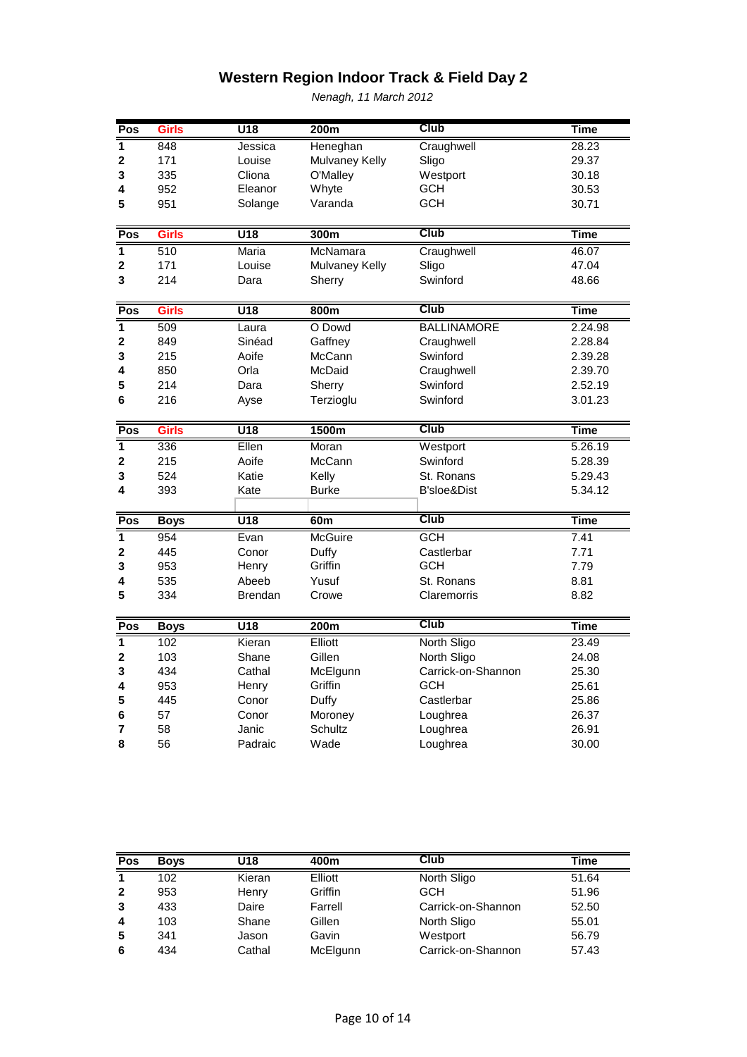| Pos                     | <b>Girls</b> | $\overline{U18}$ | 200m           | Club               | <b>Time</b> |
|-------------------------|--------------|------------------|----------------|--------------------|-------------|
| 1                       | 848          | Jessica          | Heneghan       | Craughwell         | 28.23       |
| $\overline{2}$          | 171          | Louise           | Mulvaney Kelly | Sligo              | 29.37       |
| 3                       | 335          | Cliona           | O'Malley       | Westport           | 30.18       |
| 4                       | 952          | Eleanor          | Whyte          | <b>GCH</b>         | 30.53       |
| 5                       | 951          | Solange          | Varanda        | <b>GCH</b>         | 30.71       |
|                         |              |                  |                |                    |             |
| Pos                     | <b>Girls</b> | $\overline{U18}$ | 300m           | Club               | <b>Time</b> |
| $\overline{\mathbf{1}}$ | 510          | Maria            | McNamara       | Craughwell         | 46.07       |
| 2                       | 171          | Louise           | Mulvaney Kelly | Sligo              | 47.04       |
| 3                       | 214          | Dara             | Sherry         | Swinford           | 48.66       |
| Pos                     | <b>Girls</b> | $\overline{U18}$ | 800m           | <b>Club</b>        | <b>Time</b> |
| $\overline{1}$          | 509          | Laura            | O Dowd         | <b>BALLINAMORE</b> | 2.24.98     |
| $\mathbf 2$             | 849          | Sinéad           | Gaffney        | Craughwell         | 2.28.84     |
| 3                       | 215          | Aoife            | McCann         | Swinford           | 2.39.28     |
| 4                       | 850          | Orla             | McDaid         | Craughwell         | 2.39.70     |
| 5                       | 214          | Dara             | Sherry         | Swinford           | 2.52.19     |
| 6                       | 216          | Ayse             | Terzioglu      | Swinford           | 3.01.23     |
|                         |              |                  |                |                    |             |
| Pos                     | <b>Girls</b> | $\overline{U18}$ | 1500m          | Club               | <b>Time</b> |
| $\overline{\mathbf{1}}$ | 336          | Ellen            | Moran          | Westport           | 5.26.19     |
| $\overline{\mathbf{2}}$ | 215          | Aoife            | McCann         | Swinford           | 5.28.39     |
| 3                       | 524          | Katie            | Kelly          | St. Ronans         | 5.29.43     |
| 4                       | 393          | Kate             | <b>Burke</b>   | B'sloe&Dist        | 5.34.12     |
|                         |              |                  |                |                    |             |
| Pos                     | <b>Boys</b>  | $\overline{U18}$ | 60m            | Club               | <b>Time</b> |
| $\overline{1}$          | 954          | Evan             | <b>McGuire</b> | <b>GCH</b>         | 7.41        |
| $\mathbf 2$             | 445          | Conor            | Duffy          | Castlerbar         | 7.71        |
| 3                       | 953          | Henry            | Griffin        | <b>GCH</b>         | 7.79        |
| 4                       | 535          | Abeeb            | Yusuf          | St. Ronans         | 8.81        |
| 5                       | 334          | <b>Brendan</b>   | Crowe          | Claremorris        | 8.82        |
| Pos                     | <b>Boys</b>  | U18              | 200m           | <b>Club</b>        | <b>Time</b> |
| $\overline{1}$          | 102          | Kieran           | Elliott        | North Sligo        | 23.49       |
| $\mathbf 2$             | 103          | Shane            | Gillen         | North Sligo        | 24.08       |
| 3                       | 434          | Cathal           | McElgunn       | Carrick-on-Shannon | 25.30       |
| 4                       | 953          | Henry            | Griffin        | GCH                | 25.61       |
| 5                       | 445          | Conor            | Duffy          | Castlerbar         | 25.86       |
| 6                       | 57           | Conor            | Moroney        | Loughrea           | 26.37       |
| 7                       | 58           | Janic            | Schultz        | Loughrea           | 26.91       |
| 8                       | 56           | Padraic          | Wade           | Loughrea           | 30.00       |

| Pos            | <b>Boys</b> | U18    | 400m     | Club               | Time  |
|----------------|-------------|--------|----------|--------------------|-------|
| $\mathbf 1$    | 102         | Kieran | Elliott  | North Sligo        | 51.64 |
| $\overline{2}$ | 953         | Henry  | Griffin  | <b>GCH</b>         | 51.96 |
| 3              | 433         | Daire  | Farrell  | Carrick-on-Shannon | 52.50 |
| 4              | 103         | Shane  | Gillen   | North Sligo        | 55.01 |
| 5              | 341         | Jason  | Gavin    | Westport           | 56.79 |
| 6              | 434         | Cathal | McElgunn | Carrick-on-Shannon | 57.43 |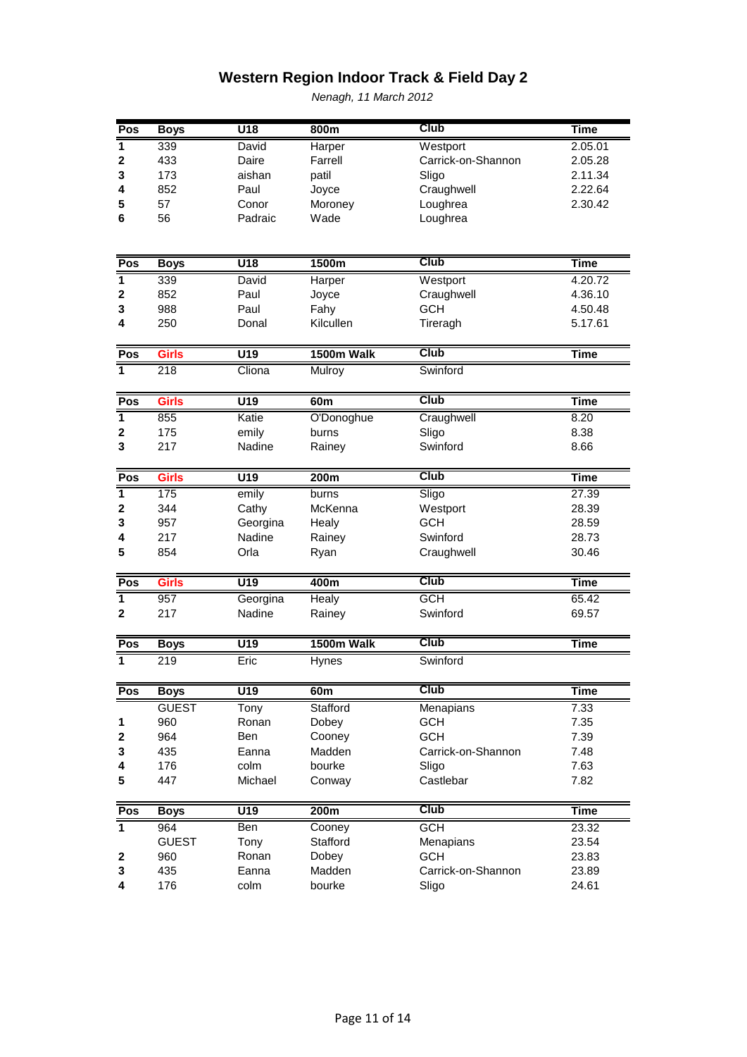| Pos            | <b>Boys</b>      | $\overline{U18}$  | 800m         | Club               | <b>Time</b> |
|----------------|------------------|-------------------|--------------|--------------------|-------------|
| 1              | 339              | David             | Harper       | Westport           | 2.05.01     |
| $\mathbf 2$    | 433              | Daire             | Farrell      | Carrick-on-Shannon | 2.05.28     |
| 3              | 173              | aishan            | patil        | Sligo              | 2.11.34     |
| 4              | 852              | Paul              | Joyce        | Craughwell         | 2.22.64     |
| 5              | 57               | Conor             | Moroney      | Loughrea           | 2.30.42     |
| 6              | 56               | Padraic           | Wade         | Loughrea           |             |
|                |                  |                   |              |                    |             |
|                |                  |                   |              |                    |             |
| Pos            | <b>Boys</b>      | $\overline{U18}$  | 1500m        | <b>Club</b>        | <b>Time</b> |
| $\mathbf{1}$   | 339              | David             | Harper       | Westport           | 4.20.72     |
| $\mathbf 2$    | 852              | Paul              | Joyce        | Craughwell         | 4.36.10     |
| 3              | 988              | Paul              | Fahy         | <b>GCH</b>         | 4.50.48     |
| 4              | 250              | Donal             | Kilcullen    | Tireragh           | 5.17.61     |
| Pos            | <b>Girls</b>     | $\overline{U19}$  | 1500m Walk   | <b>Club</b>        | <b>Time</b> |
| $\overline{1}$ | 218              | Cliona            | Mulroy       | Swinford           |             |
|                |                  |                   |              |                    |             |
| Pos            | <b>Girls</b>     | $\overline{U19}$  | 60m          | <b>Club</b>        | <b>Time</b> |
| 1              | 855              | Katie             | O'Donoghue   | Craughwell         | 8.20        |
| $\mathbf 2$    | 175              | emily             | burns        | Sligo              | 8.38        |
| 3              | 217              | Nadine            | Rainey       | Swinford           | 8.66        |
|                |                  |                   |              |                    |             |
| Pos            | <b>Girls</b>     | $\overline{U19}$  | 200m         | Club               | <b>Time</b> |
| $\overline{1}$ | 175              | emily             | burns        | Sligo              | 27.39       |
| $\mathbf 2$    | 344              | Cathy             | McKenna      | Westport           | 28.39       |
| 3              | 957              | Georgina          | Healy        | <b>GCH</b>         | 28.59       |
| 4              | 217              | Nadine            | Rainey       | Swinford           | 28.73       |
| 5              | 854              | Orla              | Ryan         | Craughwell         | 30.46       |
| Pos            | <b>Girls</b>     | $\overline{U}$ 19 | 400m         | <b>Club</b>        | <b>Time</b> |
| $\overline{1}$ | $\overline{957}$ | Georgina          | <b>Healy</b> | <b>GCH</b>         | 65.42       |
| $\overline{2}$ | 217              | Nadine            | Rainey       | Swinford           | 69.57       |
|                |                  |                   |              |                    |             |
| Pos            | <b>Boys</b>      | $\overline{U19}$  | 1500m Walk   | Club               | <b>Time</b> |
| 1              | 219              | Eric              | Hynes        | Swinford           |             |
| Pos            | <b>Boys</b>      | $\overline{U19}$  | 60m          | <b>Club</b>        | <b>Time</b> |
|                | <b>GUEST</b>     | Tony              | Stafford     | <b>Menapians</b>   | 7.33        |
| 1              | 960              | Ronan             | Dobey        | <b>GCH</b>         | 7.35        |
| 2              | 964              | Ben               | Cooney       | <b>GCH</b>         | 7.39        |
| 3              | 435              | Eanna             | Madden       | Carrick-on-Shannon | 7.48        |
| 4              | 176              | colm              | bourke       | Sligo              | 7.63        |
| 5              | 447              | Michael           | Conway       | Castlebar          | 7.82        |
|                |                  |                   |              |                    |             |
| Pos            | <b>Boys</b>      | U19               | 200m         | Club               | <b>Time</b> |
| $\overline{1}$ | 964              | Ben               | Cooney       | <b>GCH</b>         | 23.32       |
|                | <b>GUEST</b>     | Tony              | Stafford     | Menapians          | 23.54       |
| 2              | 960              | Ronan             | Dobey        | <b>GCH</b>         | 23.83       |
| 3              | 435              | Eanna             | Madden       | Carrick-on-Shannon | 23.89       |
|                | 176              | colm              | bourke       | Sligo              | 24.61       |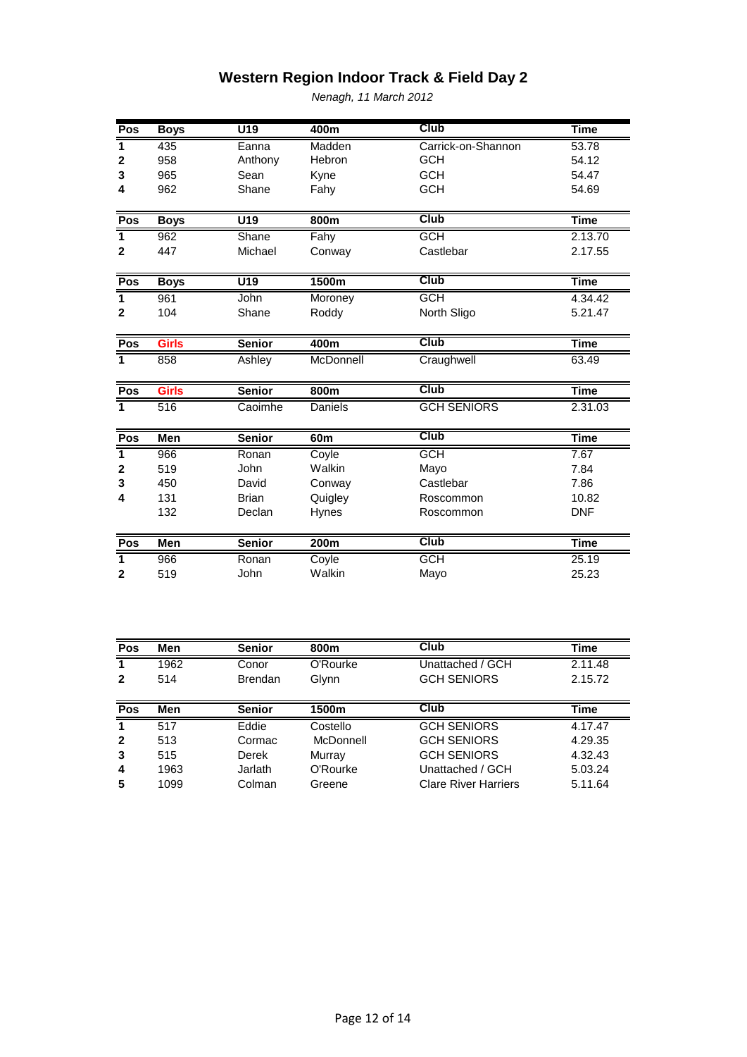| Pos            | <b>Boys</b>  | $\overline{U19}$ | 400m            | <b>Club</b>        | <b>Time</b> |
|----------------|--------------|------------------|-----------------|--------------------|-------------|
| 1              | 435          | Eanna            | Madden          | Carrick-on-Shannon | 53.78       |
| $\mathbf{2}$   | 958          | Anthony          | Hebron          | <b>GCH</b>         | 54.12       |
| 3              | 965          | Sean             | Kyne            | <b>GCH</b>         | 54.47       |
| 4              | 962          | Shane            | Fahy            | <b>GCH</b>         | 54.69       |
| Pos            | <b>Boys</b>  | $\overline{U19}$ | 800m            | <b>Club</b>        | <b>Time</b> |
| 1              | 962          | Shane            | Fahy            | <b>GCH</b>         | 2.13.70     |
| $\mathbf{2}$   | 447          | Michael          | Conway          | Castlebar          | 2.17.55     |
| Pos            | <b>Boys</b>  | $\overline{U19}$ | 1500m           | <b>Club</b>        | <b>Time</b> |
| 1              | 961          | John             | Moroney         | <b>GCH</b>         | 4.34.42     |
| $\mathbf{2}$   | 104          | Shane            | Roddy           | North Sligo        | 5.21.47     |
| Pos            | <b>Girls</b> | <b>Senior</b>    | 400m            | <b>Club</b>        | <b>Time</b> |
| $\overline{1}$ | 858          | Ashley           | McDonnell       | Craughwell         | 63.49       |
| Pos            | <b>Girls</b> | <b>Senior</b>    | 800m            | <b>Club</b>        | <b>Time</b> |
| $\overline{1}$ | 516          | Caoimhe          | Daniels         | <b>GCH SENIORS</b> | 2.31.03     |
| Pos            | <b>Men</b>   | <b>Senior</b>    | 60 <sub>m</sub> | <b>Club</b>        | <b>Time</b> |
| 1              | 966          | Ronan            | Coyle           | <b>GCH</b>         | 7.67        |
| $\mathbf 2$    | 519          | John             | Walkin          | Mayo               | 7.84        |
| 3              | 450          | David            | Conway          | Castlebar          | 7.86        |
| 4              | 131          | <b>Brian</b>     | Quigley         | Roscommon          | 10.82       |
|                | 132          | Declan           | <b>Hynes</b>    | Roscommon          | <b>DNF</b>  |
| Pos            | <b>Men</b>   | <b>Senior</b>    | 200m            | <b>Club</b>        | <b>Time</b> |
|                |              | Ronan            | Coyle           | <b>GCH</b>         | 25.19       |
| $\overline{1}$ | 966          |                  |                 |                    |             |

| Pos          | Men  | <b>Senior</b>  | 800m      | Club               | Time    |
|--------------|------|----------------|-----------|--------------------|---------|
| 1            | 1962 | Conor          | O'Rourke  | Unattached / GCH   | 2.11.48 |
| $\mathbf{2}$ | 514  | <b>Brendan</b> | Glynn     | <b>GCH SENIORS</b> | 2.15.72 |
|              |      |                |           |                    |         |
| Pos          | Men  | <b>Senior</b>  | 1500m     | <b>Club</b>        | Time    |
| $\mathbf{1}$ | 517  | Eddie          | Costello  | <b>GCH SENIORS</b> | 4.17.47 |
| $\mathbf{2}$ | 513  | Cormac         | McDonnell | <b>GCH SENIORS</b> | 4.29.35 |
| 3            | 515  | Derek          | Murray    | <b>GCH SENIORS</b> | 4.32.43 |
|              |      |                |           |                    |         |
| 4            | 1963 | Jarlath        | O'Rourke  | Unattached / GCH   | 5.03.24 |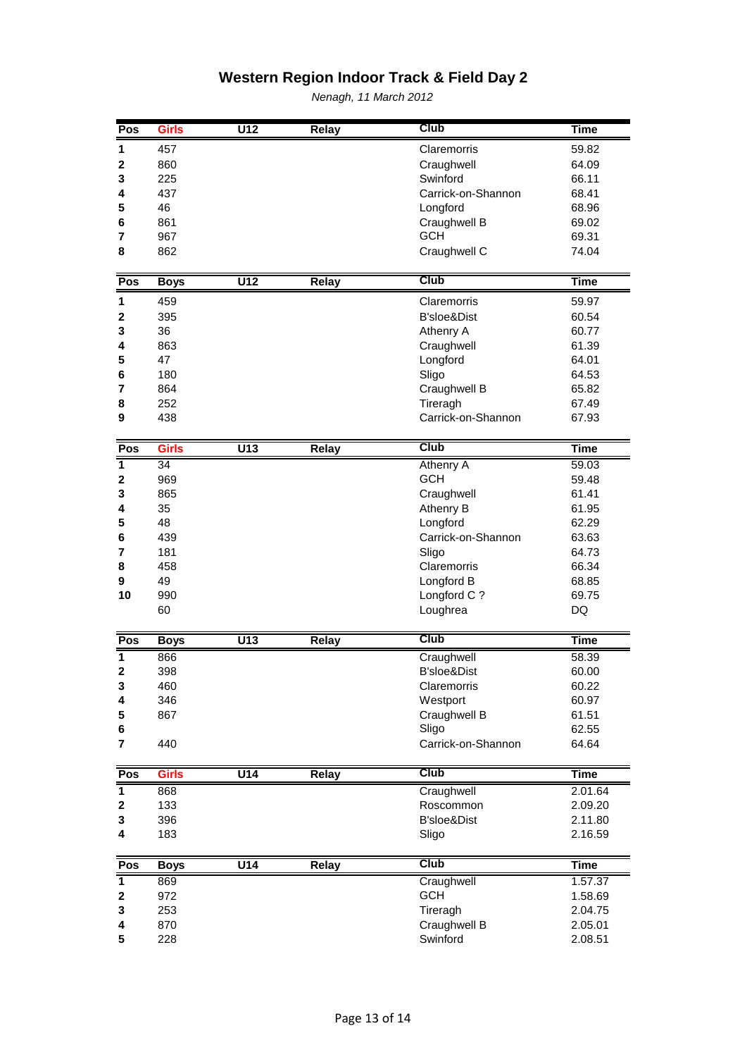| Pos                     | <b>Girls</b> | $\overline{U12}$ | Relay        | <b>Club</b>            | <b>Time</b> |
|-------------------------|--------------|------------------|--------------|------------------------|-------------|
| 1                       | 457          |                  |              | Claremorris            | 59.82       |
| $\mathbf 2$             | 860          |                  |              | Craughwell             | 64.09       |
| 3                       | 225          |                  |              | Swinford               | 66.11       |
| 4                       | 437          |                  |              | Carrick-on-Shannon     | 68.41       |
| 5                       | 46           |                  |              | Longford               | 68.96       |
| 6                       | 861          |                  |              | Craughwell B           | 69.02       |
| 7                       | 967          |                  |              | <b>GCH</b>             | 69.31       |
| 8                       | 862          |                  |              | Craughwell C           | 74.04       |
|                         |              |                  |              |                        |             |
| Pos                     | <b>Boys</b>  | $\overline{U12}$ | <b>Relay</b> | <b>Club</b>            | <b>Time</b> |
| 1                       | 459          |                  |              | Claremorris            | 59.97       |
| $\mathbf 2$             | 395          |                  |              | <b>B'sloe&amp;Dist</b> | 60.54       |
| 3                       | 36           |                  |              | Athenry A              | 60.77       |
| 4                       | 863          |                  |              | Craughwell             | 61.39       |
| 5                       | 47           |                  |              | Longford               | 64.01       |
| 6                       | 180          |                  |              | Sligo                  | 64.53       |
| $\overline{7}$          | 864          |                  |              | Craughwell B           | 65.82       |
| 8                       | 252          |                  |              | Tireragh               | 67.49       |
| 9                       | 438          |                  |              | Carrick-on-Shannon     | 67.93       |
| Pos                     | <b>Girls</b> | $\overline{U13}$ | <b>Relay</b> | <b>Club</b>            | <b>Time</b> |
| $\overline{\mathbf{1}}$ | 34           |                  |              | <b>Athenry A</b>       | 59.03       |
| $\mathbf 2$             | 969          |                  |              | <b>GCH</b>             | 59.48       |
| 3                       | 865          |                  |              | Craughwell             | 61.41       |
| 4                       | 35           |                  |              | Athenry B              | 61.95       |
| 5                       | 48           |                  |              | Longford               | 62.29       |
| 6                       | 439          |                  |              | Carrick-on-Shannon     | 63.63       |
| 7                       | 181          |                  |              | Sligo                  | 64.73       |
| 8                       | 458          |                  |              | Claremorris            | 66.34       |
| 9                       | 49           |                  |              | Longford B             | 68.85       |
| 10                      | 990          |                  |              | Longford C?            | 69.75       |
|                         | 60           |                  |              | Loughrea               | DQ          |
| Pos                     | <b>Boys</b>  | U13              | <b>Relay</b> | <b>Club</b>            | <b>Time</b> |
| 1                       | 866          |                  |              | Craughwell             | 58.39       |
| $\mathbf 2$             | 398          |                  |              | B'sloe&Dist            | 60.00       |
| 3                       | 460          |                  |              | Claremorris            | 60.22       |
| 4                       | 346          |                  |              | Westport               | 60.97       |
| 5                       | 867          |                  |              | Craughwell B           | 61.51       |
| 6                       |              |                  |              | Sligo                  | 62.55       |
| 7                       | 440          |                  |              | Carrick-on-Shannon     | 64.64       |
| Pos                     | <b>Girls</b> | $\overline{U14}$ | <b>Relay</b> | <b>Club</b>            | <b>Time</b> |
| $\overline{\mathbf{1}}$ | 868          |                  |              | Craughwell             | 2.01.64     |
| 2                       | 133          |                  |              | Roscommon              | 2.09.20     |
| 3                       | 396          |                  |              | B'sloe&Dist            | 2.11.80     |
| 4                       | 183          |                  |              | Sligo                  | 2.16.59     |
|                         |              |                  |              | <b>Club</b>            |             |
| Pos                     | <b>Boys</b>  | U14              | Relay        |                        | <b>Time</b> |
| $\overline{\mathbf{1}}$ | 869          |                  |              | Craughwell             | 1.57.37     |
| 2                       | 972          |                  |              | <b>GCH</b>             | 1.58.69     |
| 3                       | 253          |                  |              | Tireragh               | 2.04.75     |
| 4                       | 870          |                  |              | Craughwell B           | 2.05.01     |
| 5                       | 228          |                  |              | Swinford               | 2.08.51     |